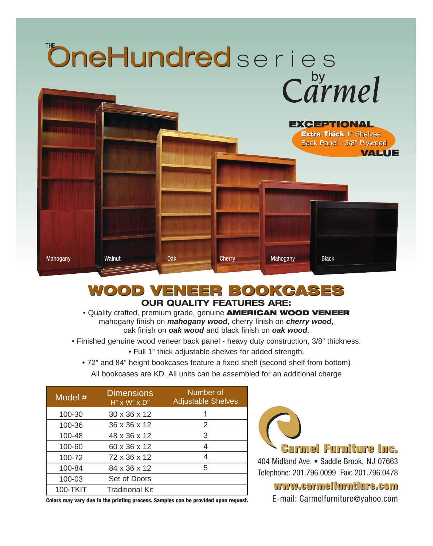

### **WOOD VENEER BOOKCASES WOOD VENEER BOOKCASES OUR QUALITY FEATURES ARE:**

• Quality crafted, premium grade, genuine **AMERICAN WOOD VENEER** mahogany finish on *mahogany wood*, cherry finish on *cherry wood*, oak finish on *oak wood* and black finish on *oak wood*.

- Finished genuine wood veneer back panel heavy duty construction, 3/8" thickness.
	- Full 1" thick adjustable shelves for added strength.
	- 72" and 84" height bookcases feature a fixed shelf (second shelf from bottom) All bookcases are KD. All units can be assembled for an additional charge

| Model $#$       | <b>Dimensions</b><br>$H''$ x W" x D" | Number of<br><b>Adjustable Shelves</b> |
|-----------------|--------------------------------------|----------------------------------------|
| 100-30          | 30 x 36 x 12                         |                                        |
| 100-36          | 36 x 36 x 12                         | 2                                      |
| 100-48          | 48 x 36 x 12                         | 3                                      |
| 100-60          | 60 x 36 x 12                         |                                        |
| 100-72          | 72 x 36 x 12                         | 4                                      |
| 100-84          | 84 x 36 x 12                         | 5                                      |
| 100-03          | Set of Doors                         |                                        |
| <b>100-TKIT</b> | <b>Traditional Kit</b>               |                                        |

**Colors may vary due to the printing process. Samples can be provided upon request.**



**Carmel Furniture Inc. Carmel Furniture Inc.**

404 Midland Ave. • Saddle Brook, NJ 07663 Telephone: 201.796.0099 Fax: 201.796.0478

**www.carmelfurntiure.com www.carmelfurntiure.com**

E-mail: Carmelfurniture@yahoo.com